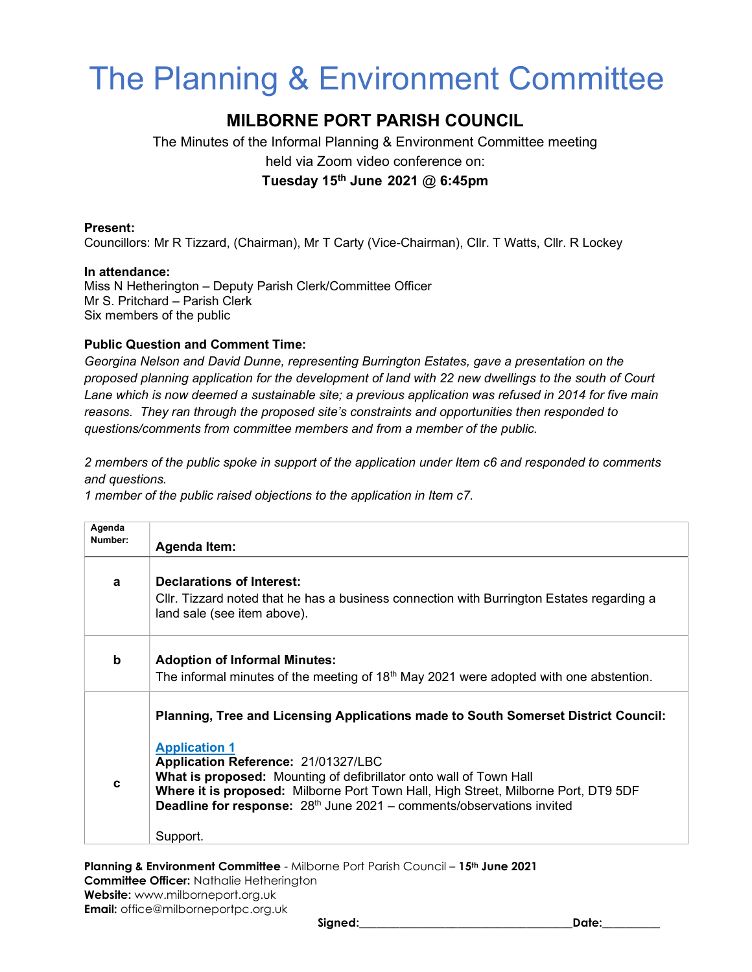# The Planning & Environment Committee

## MILBORNE PORT PARISH COUNCIL

The Minutes of the Informal Planning & Environment Committee meeting held via Zoom video conference on: Tuesday 15<sup>th</sup> June 2021  $@$  6:45pm

### Present:

Councillors: Mr R Tizzard, (Chairman), Mr T Carty (Vice-Chairman), Cllr. T Watts, Cllr. R Lockey

#### In attendance:

Miss N Hetherington – Deputy Parish Clerk/Committee Officer Mr S. Pritchard – Parish Clerk Six members of the public

### Public Question and Comment Time:

Georgina Nelson and David Dunne, representing Burrington Estates, gave a presentation on the proposed planning application for the development of land with 22 new dwellings to the south of Court Lane which is now deemed a sustainable site; a previous application was refused in 2014 for five main reasons. They ran through the proposed site's constraints and opportunities then responded to questions/comments from committee members and from a member of the public.

2 members of the public spoke in support of the application under Item c6 and responded to comments and questions.

1 member of the public raised objections to the application in Item c7.

| Agenda  |                                                                                                                                                                                                                                                                                                                                                                                                                              |
|---------|------------------------------------------------------------------------------------------------------------------------------------------------------------------------------------------------------------------------------------------------------------------------------------------------------------------------------------------------------------------------------------------------------------------------------|
| Number: | <b>Agenda Item:</b>                                                                                                                                                                                                                                                                                                                                                                                                          |
| a       | Declarations of Interest:<br>Cllr. Tizzard noted that he has a business connection with Burrington Estates regarding a<br>land sale (see item above).                                                                                                                                                                                                                                                                        |
| b       | <b>Adoption of Informal Minutes:</b><br>The informal minutes of the meeting of $18th$ May 2021 were adopted with one abstention.                                                                                                                                                                                                                                                                                             |
| C       | Planning, Tree and Licensing Applications made to South Somerset District Council:<br><b>Application 1</b><br>Application Reference: 21/01327/LBC<br><b>What is proposed:</b> Mounting of defibrillator onto wall of Town Hall<br><b>Where it is proposed:</b> Milborne Port Town Hall, High Street, Milborne Port, DT9 5DF<br>Deadline for response: 28 <sup>th</sup> June 2021 - comments/observations invited<br>Support. |

Planning & Environment Committee - Milborne Port Parish Council - 15<sup>th</sup> June 2021 Committee Officer: Nathalie Hetherington Website: www.milborneport.org.uk Email: office@milborneportpc.org.uk

Signed:\_\_\_\_\_\_\_\_\_\_\_\_\_\_\_\_\_\_\_\_\_\_\_\_\_\_\_\_\_\_\_\_\_\_\_\_\_Date:\_\_\_\_\_\_\_\_\_\_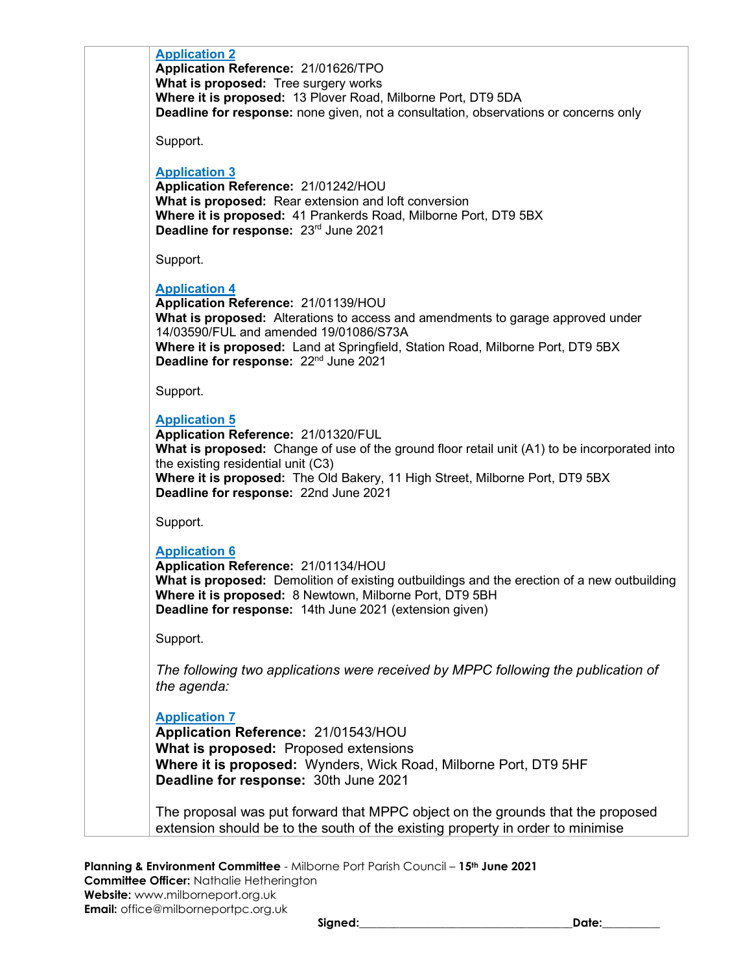| <b>Application 2</b><br>Application Reference: 21/01626/TPO                                                               |  |
|---------------------------------------------------------------------------------------------------------------------------|--|
| What is proposed: Tree surgery works                                                                                      |  |
| Where it is proposed: 13 Plover Road, Milborne Port, DT9 5DA                                                              |  |
| <b>Deadline for response:</b> none given, not a consultation, observations or concerns only                               |  |
| Support.                                                                                                                  |  |
| <b>Application 3</b>                                                                                                      |  |
| Application Reference: 21/01242/HOU                                                                                       |  |
| What is proposed: Rear extension and loft conversion                                                                      |  |
| Where it is proposed: 41 Prankerds Road, Milborne Port, DT9 5BX<br>Deadline for response: 23rd June 2021                  |  |
| Support.                                                                                                                  |  |
| <b>Application 4</b>                                                                                                      |  |
| Application Reference: 21/01139/HOU                                                                                       |  |
| <b>What is proposed:</b> Alterations to access and amendments to garage approved under                                    |  |
| 14/03590/FUL and amended 19/01086/S73A<br>Where it is proposed: Land at Springfield, Station Road, Milborne Port, DT9 5BX |  |
| Deadline for response: 22 <sup>nd</sup> June 2021                                                                         |  |
| Support.                                                                                                                  |  |
| <b>Application 5</b>                                                                                                      |  |
| Application Reference: 21/01320/FUL                                                                                       |  |
| What is proposed: Change of use of the ground floor retail unit (A1) to be incorporated into                              |  |
| the existing residential unit (C3)                                                                                        |  |
| Where it is proposed: The Old Bakery, 11 High Street, Milborne Port, DT9 5BX<br>Deadline for response: 22nd June 2021     |  |
|                                                                                                                           |  |
| Support.                                                                                                                  |  |
| <b>Application 6</b>                                                                                                      |  |
| Application Reference: 21/01134/HOU                                                                                       |  |
| <b>What is proposed:</b> Demolition of existing outbuildings and the erection of a new outbuilding                        |  |
| Where it is proposed: 8 Newtown, Milborne Port, DT9 5BH<br>Deadline for response: 14th June 2021 (extension given)        |  |
|                                                                                                                           |  |
| Support.                                                                                                                  |  |
| The following two applications were received by MPPC following the publication of                                         |  |
| the agenda:                                                                                                               |  |
| <b>Application 7</b>                                                                                                      |  |
| Application Reference: 21/01543/HOU                                                                                       |  |
| What is proposed: Proposed extensions                                                                                     |  |
| Where it is proposed: Wynders, Wick Road, Milborne Port, DT9 5HF                                                          |  |
| Deadline for response: 30th June 2021                                                                                     |  |
| The proposal was put forward that MPPC object on the grounds that the proposed                                            |  |
| extension should be to the south of the existing property in order to minimise                                            |  |
|                                                                                                                           |  |

Planning & Environment Committee - Milborne Port Parish Council - 15<sup>th</sup> June 2021 Committee Officer: Nathalie Hetherington Website: www.milborneport.org.uk Email: office@milborneportpc.org.uk

Signed:\_\_\_\_\_\_\_\_\_\_\_\_\_\_\_\_\_\_\_\_\_\_\_\_\_\_\_\_\_\_\_\_\_\_\_\_\_Date:\_\_\_\_\_\_\_\_\_\_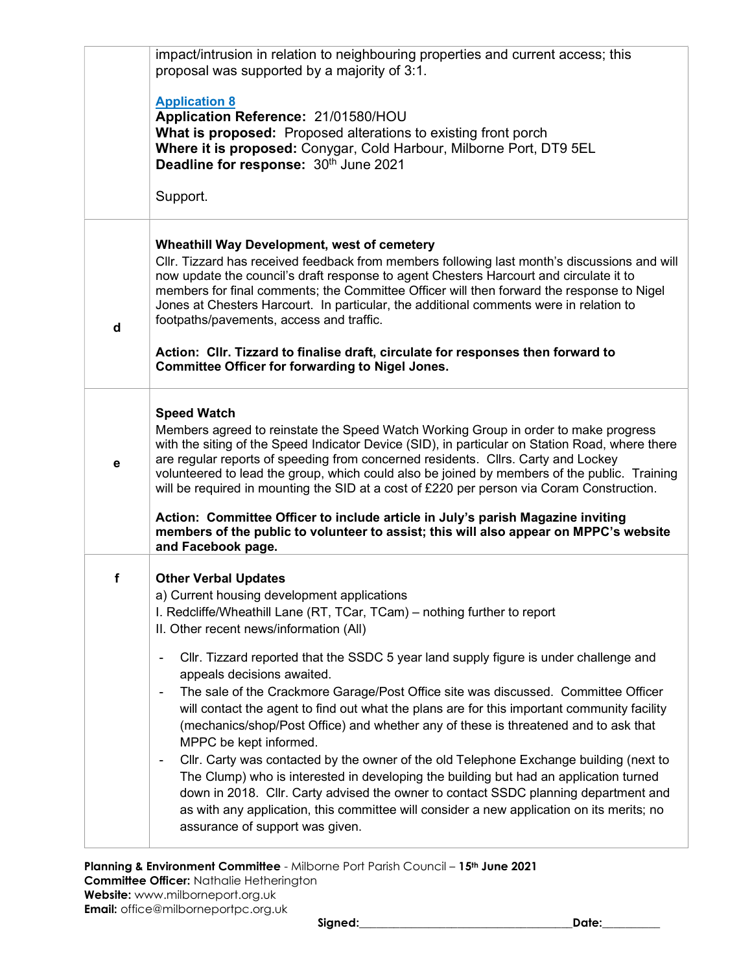|   | impact/intrusion in relation to neighbouring properties and current access; this<br>proposal was supported by a majority of 3:1.                                                                                                                                                                                                                                                                                                                                         |  |  |  |  |
|---|--------------------------------------------------------------------------------------------------------------------------------------------------------------------------------------------------------------------------------------------------------------------------------------------------------------------------------------------------------------------------------------------------------------------------------------------------------------------------|--|--|--|--|
|   | <b>Application 8</b>                                                                                                                                                                                                                                                                                                                                                                                                                                                     |  |  |  |  |
|   | Application Reference: 21/01580/HOU<br>What is proposed: Proposed alterations to existing front porch                                                                                                                                                                                                                                                                                                                                                                    |  |  |  |  |
|   | Where it is proposed: Conygar, Cold Harbour, Milborne Port, DT9 5EL<br>Deadline for response: 30th June 2021                                                                                                                                                                                                                                                                                                                                                             |  |  |  |  |
|   | Support.                                                                                                                                                                                                                                                                                                                                                                                                                                                                 |  |  |  |  |
|   | <b>Wheathill Way Development, west of cemetery</b>                                                                                                                                                                                                                                                                                                                                                                                                                       |  |  |  |  |
| d | CIIr. Tizzard has received feedback from members following last month's discussions and will<br>now update the council's draft response to agent Chesters Harcourt and circulate it to<br>members for final comments; the Committee Officer will then forward the response to Nigel<br>Jones at Chesters Harcourt. In particular, the additional comments were in relation to<br>footpaths/pavements, access and traffic.                                                |  |  |  |  |
|   | Action: Cllr. Tizzard to finalise draft, circulate for responses then forward to<br><b>Committee Officer for forwarding to Nigel Jones.</b>                                                                                                                                                                                                                                                                                                                              |  |  |  |  |
|   | <b>Speed Watch</b>                                                                                                                                                                                                                                                                                                                                                                                                                                                       |  |  |  |  |
| е | Members agreed to reinstate the Speed Watch Working Group in order to make progress<br>with the siting of the Speed Indicator Device (SID), in particular on Station Road, where there<br>are regular reports of speeding from concerned residents. Cllrs. Carty and Lockey<br>volunteered to lead the group, which could also be joined by members of the public. Training<br>will be required in mounting the SID at a cost of £220 per person via Coram Construction. |  |  |  |  |
|   | Action: Committee Officer to include article in July's parish Magazine inviting<br>members of the public to volunteer to assist; this will also appear on MPPC's website<br>and Facebook page.                                                                                                                                                                                                                                                                           |  |  |  |  |
| f | <b>Other Verbal Updates</b>                                                                                                                                                                                                                                                                                                                                                                                                                                              |  |  |  |  |
|   | a) Current housing development applications<br>I. Redcliffe/Wheathill Lane (RT, TCar, TCam) - nothing further to report                                                                                                                                                                                                                                                                                                                                                  |  |  |  |  |
|   | II. Other recent news/information (All)                                                                                                                                                                                                                                                                                                                                                                                                                                  |  |  |  |  |
|   | CIIr. Tizzard reported that the SSDC 5 year land supply figure is under challenge and<br>$\qquad \qquad \blacksquare$<br>appeals decisions awaited.                                                                                                                                                                                                                                                                                                                      |  |  |  |  |
|   | The sale of the Crackmore Garage/Post Office site was discussed. Committee Officer<br>$\overline{\phantom{a}}$<br>will contact the agent to find out what the plans are for this important community facility<br>(mechanics/shop/Post Office) and whether any of these is threatened and to ask that<br>MPPC be kept informed.                                                                                                                                           |  |  |  |  |
|   | Cllr. Carty was contacted by the owner of the old Telephone Exchange building (next to<br>$\overline{\phantom{a}}$<br>The Clump) who is interested in developing the building but had an application turned<br>down in 2018. Cllr. Carty advised the owner to contact SSDC planning department and<br>as with any application, this committee will consider a new application on its merits; no<br>assurance of support was given.                                       |  |  |  |  |
|   |                                                                                                                                                                                                                                                                                                                                                                                                                                                                          |  |  |  |  |